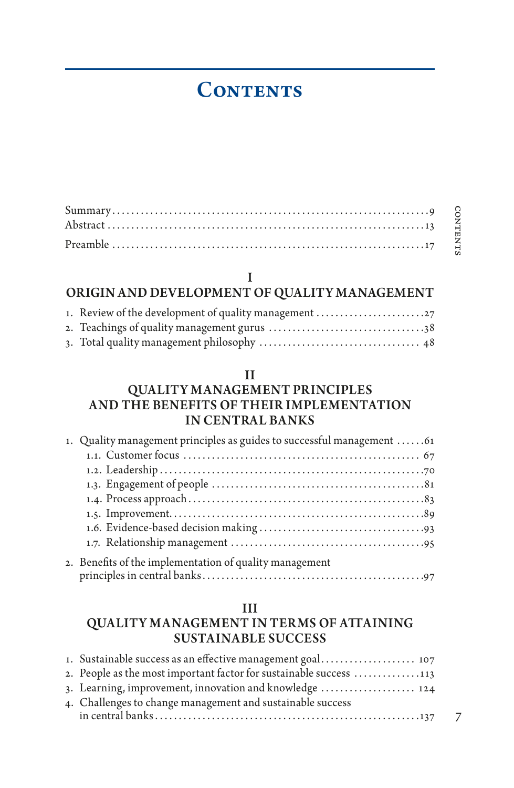# **CONTENTS**

## I

# ORIGIN AND DEVELOPMENT OF QUALITY MANAGEMENT

| 1. Review of the development of quality management |  |
|----------------------------------------------------|--|
|                                                    |  |
|                                                    |  |

### II

## QUALITY MANAGEMENT PRINCIPLES AND THE BENEFITS OF THEIR IMPLEMENTATION IN CENTRAL BANKS

| 1. Quality management principles as guides to successful management 61 |
|------------------------------------------------------------------------|
|                                                                        |
|                                                                        |
|                                                                        |
|                                                                        |
|                                                                        |
|                                                                        |
|                                                                        |
| 2. Benefits of the implementation of quality management                |

#### III

## QUALITY MANAGEMENT IN TERMS OF ATTAINING SUSTAINABLE SUCCESS

| 1. Sustainable success as an effective management goal 107         |
|--------------------------------------------------------------------|
| 2. People as the most important factor for sustainable success 113 |
| 3. Learning, improvement, innovation and knowledge  124            |
| 4. Challenges to change management and sustainable success         |
|                                                                    |

7

contents

CONTENTS